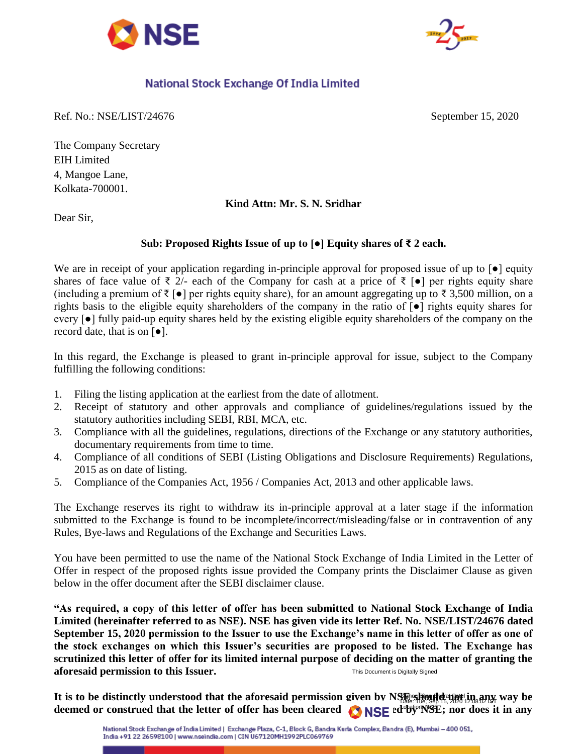



## National Stock Exchange Of India Limited

Ref. No.: NSE/LIST/24676 September 15, 2020

The Company Secretary EIH Limited 4, Mangoe Lane, Kolkata-700001.

## **Kind Attn: Mr. S. N. Sridhar**

Dear Sir,

## **Sub: Proposed Rights Issue of up to [●] Equity shares of ₹ 2 each.**

We are in receipt of your application regarding in-principle approval for proposed issue of up to  $\lceil \bullet \rceil$  equity shares of face value of  $\bar{\tau}$  2/- each of the Company for cash at a price of  $\bar{\tau}$  [ $\bullet$ ] per rights equity share (including a premium of ₹ [ $\bullet$ ] per rights equity share), for an amount aggregating up to ₹ 3,500 million, on a rights basis to the eligible equity shareholders of the company in the ratio of [●] rights equity shares for every [●] fully paid-up equity shares held by the existing eligible equity shareholders of the company on the record date, that is on [●].

In this regard, the Exchange is pleased to grant in-principle approval for issue, subject to the Company fulfilling the following conditions:

- 1. Filing the listing application at the earliest from the date of allotment.
- 2. Receipt of statutory and other approvals and compliance of guidelines/regulations issued by the statutory authorities including SEBI, RBI, MCA, etc.
- 3. Compliance with all the guidelines, regulations, directions of the Exchange or any statutory authorities, documentary requirements from time to time.
- 4. Compliance of all conditions of SEBI (Listing Obligations and Disclosure Requirements) Regulations, 2015 as on date of listing.
- 5. Compliance of the Companies Act, 1956 / Companies Act, 2013 and other applicable laws.

The Exchange reserves its right to withdraw its in-principle approval at a later stage if the information submitted to the Exchange is found to be incomplete/incorrect/misleading/false or in contravention of any Rules, Bye-laws and Regulations of the Exchange and Securities Laws.

You have been permitted to use the name of the National Stock Exchange of India Limited in the Letter of Offer in respect of the proposed rights issue provided the Company prints the Disclaimer Clause as given below in the offer document after the SEBI disclaimer clause.

**"As required, a copy of this letter of offer has been submitted to National Stock Exchange of India Limited (hereinafter referred to as NSE). NSE has given vide its letter Ref. No. NSE/LIST/24676 dated September 15, 2020 permission to the Issuer to use the Exchange's name in this letter of offer as one of the stock exchanges on which this Issuer's securities are proposed to be listed. The Exchange has scrutinized this letter of offer for its limited internal purpose of deciding on the matter of granting the aforesaid permission to this Issuer.** This Document is Digitally Signed

It is to be distinctly understood that the aforesaid permission given by NSB should at the sep 15, 2020 12:08:02 IST way be deemed or construed that the letter of offer has been cleared **ONSE** ed<sup>-og-NSE</sup>; nor does it in any